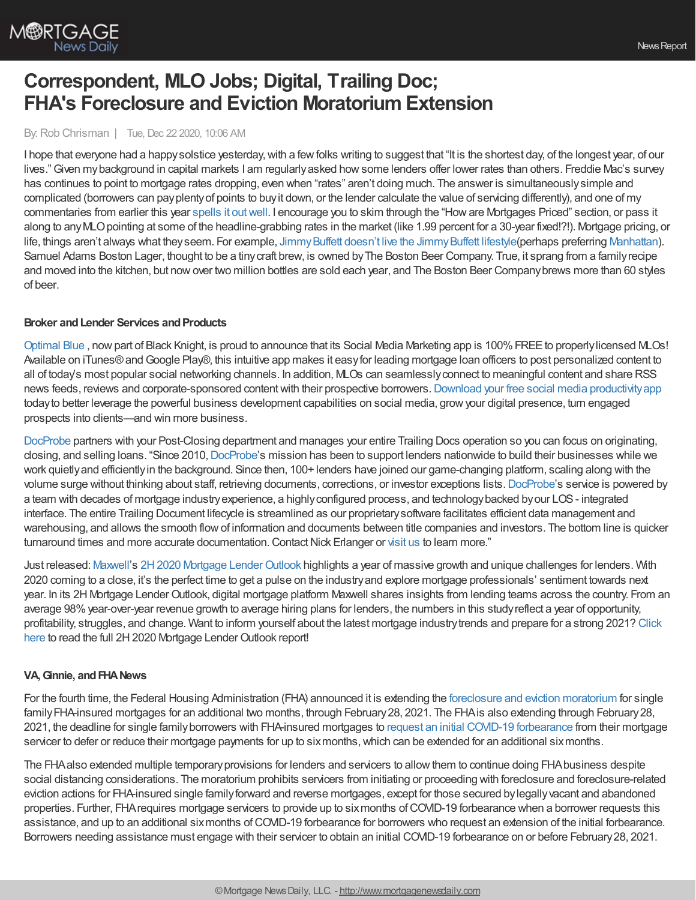

# **Correspondent, MLO Jobs; Digital, Trailing Doc; FHA's Foreclosure and Eviction Moratorium Extension**

## By:Rob Chrisman | Tue, Dec 22 2020, 10:06 AM

I hope that everyone had a happy solstice yesterday, with a few folks writing to suggest that "It is the shortest day, of the longest year, of our lives."Given mybackground in capital markets I am regularlyasked howsome lenders offer lower rates than others. Freddie Mac's survey has continues to point to mortgage rates dropping, even when "rates" aren't doing much. The answer is simultaneouslysimple and complicated (borrowers can payplentyof points to buyit down, or the lender calculate the value of servicing differently), and one of my commentaries from earlier this year spells it [outwell.](https://www.robchrisman.com/jan-20-what-mlos-made-in-2019-primer-on-mortgage-rates-pricing-why-is-my-rate-sheet-pricing-different/) I encourage you to skim through the "Howare Mortgages Priced" section, or pass it along to anyMLOpointing at some of the headline-grabbing rates in the market (like 1.99 percent for a 30-year fixed!?!). Mortgage pricing, or life, things aren't always what they seem. For example, Jimmy Buffett doesn't live the Jimmy Buffett lifestyle(perhaps preferring [Manhattan](https://www.avclub.com/jimmy-buffet-has-abandoned-the-margaritaville-lifestyle-1822839907)). Samuel Adams Boston Lager, thought to be a tinycraft brew, is owned byThe Boston Beer Company. True, it sprang from a familyrecipe and moved into the kitchen, but nowover two million bottles are sold each year, and The Boston Beer Companybrews more than 60 styles of beer.

## **Broker** and Lender Services and Products

[Optimal](https://www2.optimalblue.com/) Blue, now part of Black Knight, is proud to announce that its Social Media Marketing app is 100% FREE to properly licensed MLOs! Available on iTunes® and Google Play®, this intuitive app makes it easy for leading mortgage loan officers to post personalized content to all of today's most popular social networking channels. In addition, MLOs can seamlesslyconnect to meaningful content and share RSS news feeds, reviews and corporate-sponsored content with their prospective borrowers. Download your free social media productivity app todayto better leverage the powerful business development capabilities on social media, growyour digital presence, turn engaged prospects into clients—and win more business.

[DocProbe](https://bit.ly/2KILHAX) partners with your Post-Closing department and manages your entire Trailing Docs operation so you can focus on originating, closing, and selling loans. "Since 2010, [DocProbe](https://bit.ly/2KILHAX)'s mission has been to support lenders nationwide to build their businesses while we work quietlyand efficientlyin the background. Since then, 100+ lenders have joined our game-changing platform, scaling along with the volume surge without thinking about staff, retrieving documents, corrections, or investor exceptions lists.[DocProbe](https://bit.ly/2KILHAX)'s service is powered by a team with decades of mortgage industryexperience, a highlyconfigured process, and technologybacked byour LOS- integrated interface. The entire Trailing Document lifecycle is streamlined as our proprietarysoftware facilitates efficient data management and warehousing, and allows the smooth flowof information and documents between title companies and investors. The bottom line is quicker turnaround times and more accurate documentation. Contact Nick Erlanger or [visit](https://bit.ly/2KILHAX) us to learn more."

Just released: [Maxwell](https://himaxwell.com/?utm_source=RC&utm_medium=RC_Content)'s 2H2020 Mortgage [LenderOutlook](https://himaxwell.com/2h-2020-mortgage-lender-outlook/?utm_source=RC&utm_medium=RC_Content) highlights a year of massive growth and unique challenges for lenders. With 2020 coming to a close, it's the perfect time to get a pulse on the industryand explore mortgage professionals' sentiment towards next year. In its 2H Mortgage LenderOutlook, digital mortgage platform Maxwell shares insights from lending teams across the country. From an average 98%year-over-year revenue growth to average hiring plans for lenders, the numbers in this studyreflect a year of opportunity, profitability, struggles, and change. Want to inform yourself about the latest mortgage industrytrends and prepare for a strong 2021? Click here to read the full 2H 2020 Mortgage Lender Outlook report!

## **VA,Ginnie, andFHANews**

For the fourth time, the Federal Housing Administration (FHA) announced it is extending the foreclosure and eviction [moratorium](https://u7061146.ct.sendgrid.net/ls/click?upn=4tNED-2FM8iDZJQyQ53jATUWyFzLuDly2RaCb-2FixnvQHYJuAotlinLxfZ4NURhClN5XxPx98TqKv-2FSjojREtcZhKXi-2BaxCUtYJsvoF6yxaQLQ-3Daeb7_nsxRNYUkMXYB3IyH-2Bw28TYELoM9YpzOtXrrlppkfzFjGpZbwd0bLMcf2RIKlkpDjzuzdEkZgB6GAqVrUtatnD6EjhSzi0j0DhLATbiwSrOBna1n0TjXLD4a6EaENT5v5bmVpxi7fgk1VgkBtwd2TBaWBL4rqd8RJs9-2BvqxiDesriix5gQNyYRxhukgpZgzCsnjoz75-2FSL-2FdCEIkKFVAoGXbQEL-2BlzK3W5hGSD-2B0qn7bie3xdf9QtWz6Ciqud3XyxQLZFk9kGRawfw3ga6sBooTdrbXb-2BVWsUH5e69lSVdRcA9vq2CXta5gjz4b-2BauABSzeBszZiO0TP0bS4VJdwza6Hr5tNHmbdqnM2CkgSr4do-3D) for single family FHA-insured mortgages for an additional two months, through February 28, 2021. The FHA is also extending through February 28, 2021, the deadline for single familyborrowers with FHA-insured mortgages to request an initial COVID-19 [forbearance](https://u7061146.ct.sendgrid.net/ls/click?upn=4tNED-2FM8iDZJQyQ53jATUWyFzLuDly2RaCb-2FixnvQHYJuAotlinLxfZ4NURhClN5TrdVrjaWRi9KJ137GK-2BGBZziAL4vUKue6bDKjn6wfDU-3DZYe-_nsxRNYUkMXYB3IyH-2Bw28TYELoM9YpzOtXrrlppkfzFjGpZbwd0bLMcf2RIKlkpDjzuzdEkZgB6GAqVrUtatnD6EjhSzi0j0DhLATbiwSrOBna1n0TjXLD4a6EaENT5v5bmVpxi7fgk1VgkBtwd2TBaWBL4rqd8RJs9-2BvqxiDesriix5gQNyYRxhukgpZgzCsnjoz75-2FSL-2FdCEIkKFVAoGQJ3w7RcOn-2BFZzas1djIj5HG4a0T7Llz0uUQWpXqnQidijQhOsoD1-2BhqCLfFPfDRnxD5olSpioQaZv-2B0QqHRTezfddMg9xNwU54tslmiN9EqWQVrv9buhEXRsaCg-2FnFg1DGAHRlDa8ulDcoZDzuIybs-3D) from their mortgage servicer to defer or reduce their mortgage payments for up to six months, which can be extended for an additional six months.

The FHAalso extended multiple temporaryprovisions for lenders and servicers to allowthem to continue doing FHAbusiness despite social distancing considerations. The moratorium prohibits servicers from initiating or proceeding with foreclosure and foreclosure-related eviction actions for FHA-insured single familyforward and reverse mortgages, except for those secured bylegallyvacant and abandoned properties. Further, FHArequires mortgage servicers to provide up to sixmonths ofCOVID-19 forbearance when a borrower requests this assistance, and up to an additional sixmonths ofCOVID-19 forbearance for borrowers who request an extension of the initial forbearance. Borrowers needing assistance must engage with their servicer to obtain an initial COVID-19 forbearance on or before February28, 2021.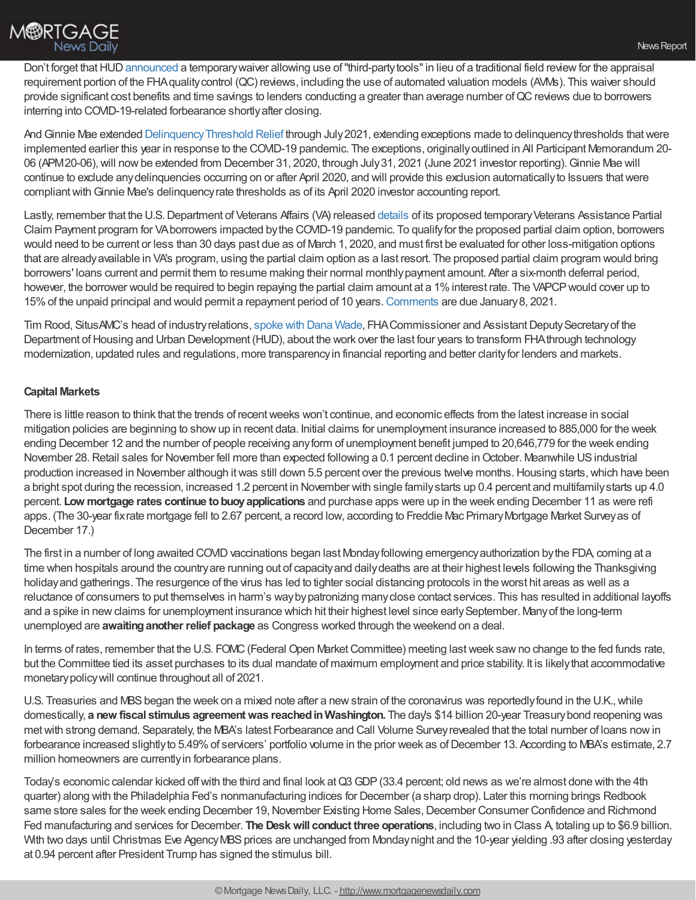

Don't forget that HUD [announced](https://www.hud.gov/program_offices/housing/sfh/FHA_info_messages?) a temporary waiver allowing use of "third-party tools" in lieu of a traditional field review for the appraisal requirement portion of the FHAqualitycontrol (QC) reviews, including the use of automated valuation models (AVMs). This waiver should provide significant cost benefits and time savings to lenders conducting a greater than average number of QC reviews due to borrowers interring into COVID-19-related forbearance shortlyafter closing.

And Ginnie Mae extended Delinquency Threshold Relief through July 2021, extending exceptions made to delinquency thresholds that were implemented earlier this year in response to the COVID-19 pandemic. The exceptions, originallyoutlined in All Participant Memorandum 20- 06 (APM20-06), will now be extended from December 31, 2020, through July 31, 2021 (June 2021 investor reporting). Ginnie Mae will continue to exclude anydelinquencies occurring on or after April 2020, and will provide this exclusion automaticallyto Issuers thatwere compliant with Ginnie Mae's delinquency rate thresholds as of its April 2020 investor accounting report.

Lastly, remember that the U.S. Department of Veterans Affairs (VA) released [details](https://www.federalregister.gov/documents/2020/12/09/2020-26964/loan-guaranty-covid-19-veterans-assistance-partial-claim-payment-program) of its proposed temporary Veterans Assistance Partial Claim Payment program for VAborrowers impacted bythe COVID-19 pandemic. To qualifyfor the proposed partial claim option, borrowers would need to be current or less than 30 days past due as of March 1, 2020, and must first be evaluated for other loss-mitigation options that are alreadyavailable in VA's program, using the partial claim option as a last resort. The proposed partial claim program would bring borrowers' loans current and permit them to resume making their normal monthlypayment amount. After a six-month deferral period, however, the borrower would be required to begin repaying the partial claim amount at a 1% interest rate. The VAPCP would cover up to 15%of the unpaid principal and would permit a repayment period of 10 years.[Comments](https://www.federalregister.gov/documents/2020/12/09/2020-26964/loan-guaranty-covid-19-veterans-assistance-partial-claim-payment-program) are due January8, 2021.

Tim Rood, SitusAMC's head of industry relations, [spoke](https://www.situsamc.com/insights/hill-episode-four) with Dana Wade, FHA Commissioner and Assistant Deputy Secretary of the Department of Housing and Urban Development (HUD), about the work over the last four years to transform FHA through technology modernization, updated rules and regulations, more transparencyin financial reporting and better clarityfor lenders and markets.

## **Capital Markets**

There is little reason to think that the trends of recentweeks won't continue, and economic effects from the latest increase in social mitigation policies are beginning to showup in recent data. Initial claims for unemployment insurance increased to 885,000 for the week ending December 12 and the number of people receiving anyform of unemployment benefit jumped to 20,646,779 for the week ending November 28. Retail sales for November fell more than expected following a 0.1 percent decline in October. Meanwhile US industrial production increased in November although it was still down 5.5 percent over the previous twelve months. Housing starts, which have been a bright spot during the recession, increased 1.2 percent in November with single familystarts up 0.4 percent and multifamilystarts up 4.0 percent. **Low mortgage rates continue tobuoyapplications** and purchase apps were up in the week ending December 11 as were refi apps. (The 30-year fixrate mortgage fell to 2.67 percent, a record low, according to Freddie Mac PrimaryMortgage Market Surveyas of December 17.)

The first in a number of long awaited COVID vaccinations began last Monday following emergency authorization by the FDA, coming at a time when hospitals around the country are running out of capacity and daily deaths are at their highest levels following the Thanksgiving holidayand gatherings. The resurgence of the virus has led to tighter social distancing protocols in the worst hit areas as well as a reluctance of consumers to put themselves in harm's waybypatronizing manyclose contact services. This has resulted in additional layoffs and a spike in new claims for unemployment insurance which hit their highest level since early September. Many of the long-term unemployed are **awaitinganother relief package** as Congress worked through the weekend on a deal.

In terms of rates, remember that the U.S. FOMC (Federal Open Market Committee) meeting last week saw no change to the fed funds rate, but the Committee tied its asset purchases to its dual mandate of maximum employment and price stability. It is likelythat accommodative monetarypolicywill continue throughout all of 2021.

U.S. Treasuries and MBS began the week on a mixed note after a new strain of the coronavirus was reportedly found in the U.K., while domestically, **a new fiscal stimulus agreementwas reachedinWashington.** The day's \$14 billion 20-year Treasurybond reopening was metwith strong demand. Separately, the MBA's latest Forbearance and Call Volume Surveyrevealed that the total number of loans nowin forbearance increased slightlyto 5.49% of servicers' portfolio volume in the prior week as of December 13. According to MBA's estimate, 2.7 million homeowners are currentlyin forbearance plans.

Today's economic calendar kicked off with the third and final look at Q3 GDP (33.4 percent; old news as we're almost done with the 4th quarter) along with the Philadelphia Fed's nonmanufacturing indices for December (a sharp drop). Later this morning brings Redbook same store sales for the week ending December 19, November Existing Home Sales, December Consumer Confidence and Richmond Fed manufacturing and services for December. **The Deskwill conduct three operations**, including two in Class A, totaling up to \$6.9 billion. With two days until Christmas Eve Agency MBS prices are unchanged from Monday night and the 10-year yielding .93 after closing yesterday at 0.94 percent after President Trump has signed the stimulus bill.